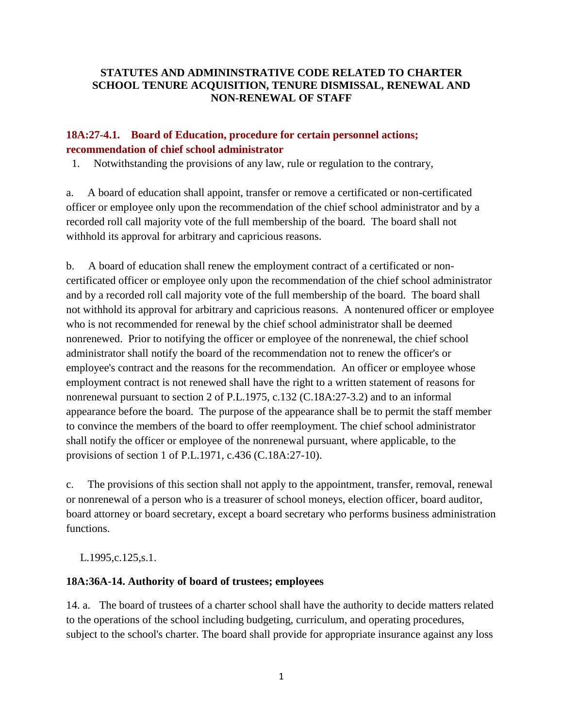### **STATUTES AND ADMININSTRATIVE CODE RELATED TO CHARTER SCHOOL TENURE ACQUISITION, TENURE DISMISSAL, RENEWAL AND NON-RENEWAL OF STAFF**

## **18A:27-4.1. Board of Education, procedure for certain personnel actions; recommendation of chief school administrator**

1. Notwithstanding the provisions of any law, rule or regulation to the contrary,

a. A board of education shall appoint, transfer or remove a certificated or non-certificated officer or employee only upon the recommendation of the chief school administrator and by a recorded roll call majority vote of the full membership of the board. The board shall not withhold its approval for arbitrary and capricious reasons.

b. A board of education shall renew the employment contract of a certificated or noncertificated officer or employee only upon the recommendation of the chief school administrator and by a recorded roll call majority vote of the full membership of the board. The board shall not withhold its approval for arbitrary and capricious reasons. A nontenured officer or employee who is not recommended for renewal by the chief school administrator shall be deemed nonrenewed. Prior to notifying the officer or employee of the nonrenewal, the chief school administrator shall notify the board of the recommendation not to renew the officer's or employee's contract and the reasons for the recommendation. An officer or employee whose employment contract is not renewed shall have the right to a written statement of reasons for nonrenewal pursuant to section 2 of P.L.1975, c.132 (C.18A:27-3.2) and to an informal appearance before the board. The purpose of the appearance shall be to permit the staff member to convince the members of the board to offer reemployment. The chief school administrator shall notify the officer or employee of the nonrenewal pursuant, where applicable, to the provisions of section 1 of P.L.1971, c.436 (C.18A:27-10).

c. The provisions of this section shall not apply to the appointment, transfer, removal, renewal or nonrenewal of a person who is a treasurer of school moneys, election officer, board auditor, board attorney or board secretary, except a board secretary who performs business administration functions.

L.1995,c.125,s.1.

### **18A:36A-14. Authority of board of trustees; employees**

14. a. The board of trustees of a charter school shall have the authority to decide matters related to the operations of the school including budgeting, curriculum, and operating procedures, subject to the school's charter. The board shall provide for appropriate insurance against any loss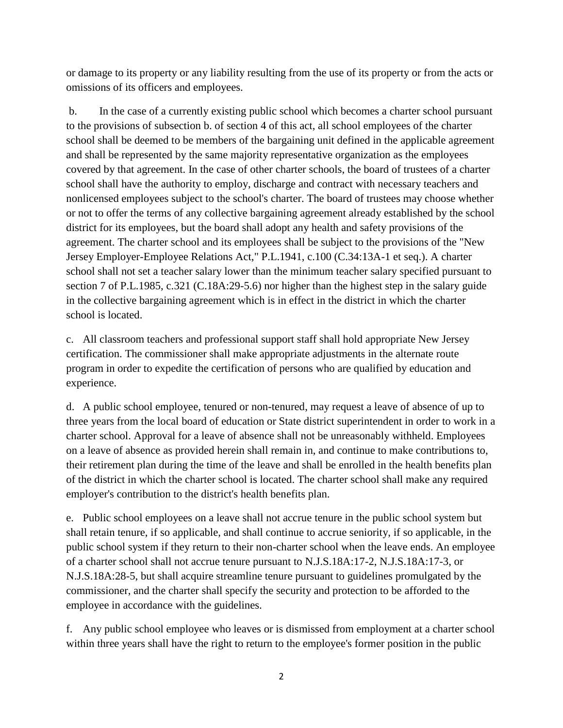or damage to its property or any liability resulting from the use of its property or from the acts or omissions of its officers and employees.

b. In the case of a currently existing public school which becomes a charter school pursuant to the provisions of subsection b. of section 4 of this act, all school employees of the charter school shall be deemed to be members of the bargaining unit defined in the applicable agreement and shall be represented by the same majority representative organization as the employees covered by that agreement. In the case of other charter schools, the board of trustees of a charter school shall have the authority to employ, discharge and contract with necessary teachers and nonlicensed employees subject to the school's charter. The board of trustees may choose whether or not to offer the terms of any collective bargaining agreement already established by the school district for its employees, but the board shall adopt any health and safety provisions of the agreement. The charter school and its employees shall be subject to the provisions of the "New Jersey Employer-Employee Relations Act," P.L.1941, c.100 (C.34:13A-1 et seq.). A charter school shall not set a teacher salary lower than the minimum teacher salary specified pursuant to section 7 of P.L.1985, c.321 (C.18A:29-5.6) nor higher than the highest step in the salary guide in the collective bargaining agreement which is in effect in the district in which the charter school is located.

c. All classroom teachers and professional support staff shall hold appropriate New Jersey certification. The commissioner shall make appropriate adjustments in the alternate route program in order to expedite the certification of persons who are qualified by education and experience.

d. A public school employee, tenured or non-tenured, may request a leave of absence of up to three years from the local board of education or State district superintendent in order to work in a charter school. Approval for a leave of absence shall not be unreasonably withheld. Employees on a leave of absence as provided herein shall remain in, and continue to make contributions to, their retirement plan during the time of the leave and shall be enrolled in the health benefits plan of the district in which the charter school is located. The charter school shall make any required employer's contribution to the district's health benefits plan.

e. Public school employees on a leave shall not accrue tenure in the public school system but shall retain tenure, if so applicable, and shall continue to accrue seniority, if so applicable, in the public school system if they return to their non-charter school when the leave ends. An employee of a charter school shall not accrue tenure pursuant to N.J.S.18A:17-2, N.J.S.18A:17-3, or N.J.S.18A:28-5, but shall acquire streamline tenure pursuant to guidelines promulgated by the commissioner, and the charter shall specify the security and protection to be afforded to the employee in accordance with the guidelines.

f. Any public school employee who leaves or is dismissed from employment at a charter school within three years shall have the right to return to the employee's former position in the public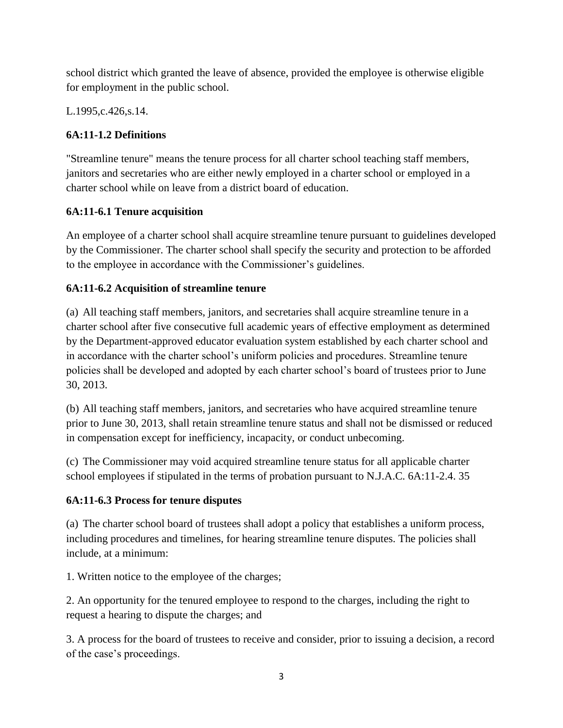school district which granted the leave of absence, provided the employee is otherwise eligible for employment in the public school.

L.1995,c.426,s.14.

# **6A:11-1.2 Definitions**

"Streamline tenure" means the tenure process for all charter school teaching staff members, janitors and secretaries who are either newly employed in a charter school or employed in a charter school while on leave from a district board of education.

# **6A:11-6.1 Tenure acquisition**

An employee of a charter school shall acquire streamline tenure pursuant to guidelines developed by the Commissioner. The charter school shall specify the security and protection to be afforded to the employee in accordance with the Commissioner's guidelines.

# **6A:11-6.2 Acquisition of streamline tenure**

(a) All teaching staff members, janitors, and secretaries shall acquire streamline tenure in a charter school after five consecutive full academic years of effective employment as determined by the Department-approved educator evaluation system established by each charter school and in accordance with the charter school's uniform policies and procedures. Streamline tenure policies shall be developed and adopted by each charter school's board of trustees prior to June 30, 2013.

(b) All teaching staff members, janitors, and secretaries who have acquired streamline tenure prior to June 30, 2013, shall retain streamline tenure status and shall not be dismissed or reduced in compensation except for inefficiency, incapacity, or conduct unbecoming.

(c) The Commissioner may void acquired streamline tenure status for all applicable charter school employees if stipulated in the terms of probation pursuant to N.J.A.C. 6A:11-2.4. 35

# **6A:11-6.3 Process for tenure disputes**

(a) The charter school board of trustees shall adopt a policy that establishes a uniform process, including procedures and timelines, for hearing streamline tenure disputes. The policies shall include, at a minimum:

1. Written notice to the employee of the charges;

2. An opportunity for the tenured employee to respond to the charges, including the right to request a hearing to dispute the charges; and

3. A process for the board of trustees to receive and consider, prior to issuing a decision, a record of the case's proceedings.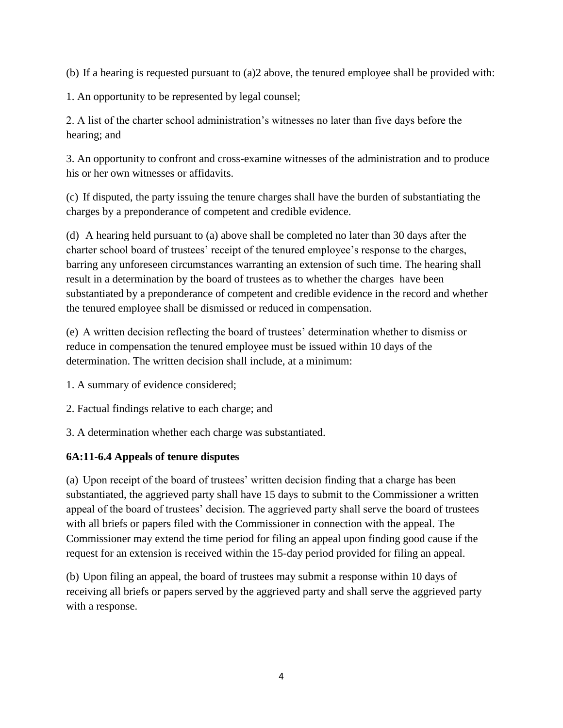(b) If a hearing is requested pursuant to (a)2 above, the tenured employee shall be provided with:

1. An opportunity to be represented by legal counsel;

2. A list of the charter school administration's witnesses no later than five days before the hearing; and

3. An opportunity to confront and cross-examine witnesses of the administration and to produce his or her own witnesses or affidavits.

(c) If disputed, the party issuing the tenure charges shall have the burden of substantiating the charges by a preponderance of competent and credible evidence.

(d) A hearing held pursuant to (a) above shall be completed no later than 30 days after the charter school board of trustees' receipt of the tenured employee's response to the charges, barring any unforeseen circumstances warranting an extension of such time. The hearing shall result in a determination by the board of trustees as to whether the charges have been substantiated by a preponderance of competent and credible evidence in the record and whether the tenured employee shall be dismissed or reduced in compensation.

(e) A written decision reflecting the board of trustees' determination whether to dismiss or reduce in compensation the tenured employee must be issued within 10 days of the determination. The written decision shall include, at a minimum:

- 1. A summary of evidence considered;
- 2. Factual findings relative to each charge; and
- 3. A determination whether each charge was substantiated.

### **6A:11-6.4 Appeals of tenure disputes**

(a) Upon receipt of the board of trustees' written decision finding that a charge has been substantiated, the aggrieved party shall have 15 days to submit to the Commissioner a written appeal of the board of trustees' decision. The aggrieved party shall serve the board of trustees with all briefs or papers filed with the Commissioner in connection with the appeal. The Commissioner may extend the time period for filing an appeal upon finding good cause if the request for an extension is received within the 15-day period provided for filing an appeal.

(b) Upon filing an appeal, the board of trustees may submit a response within 10 days of receiving all briefs or papers served by the aggrieved party and shall serve the aggrieved party with a response.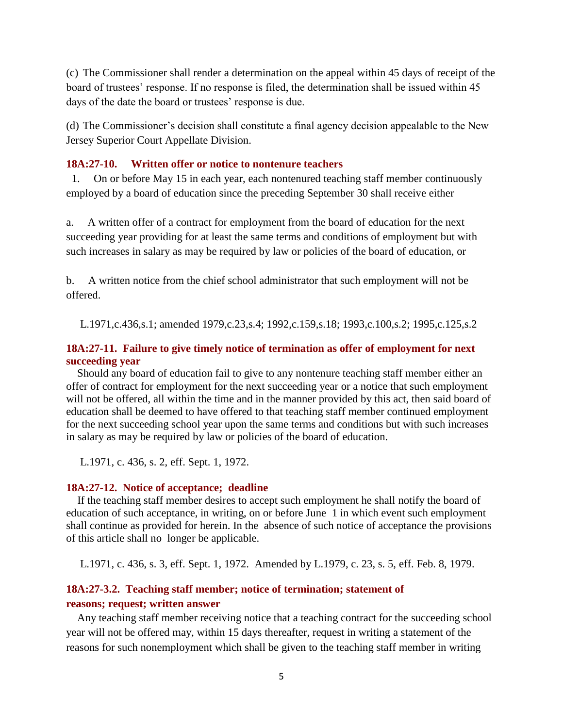(c) The Commissioner shall render a determination on the appeal within 45 days of receipt of the board of trustees' response. If no response is filed, the determination shall be issued within 45 days of the date the board or trustees' response is due.

(d) The Commissioner's decision shall constitute a final agency decision appealable to the New Jersey Superior Court Appellate Division.

#### **18A:27-10. Written offer or notice to nontenure teachers**

1. On or before May 15 in each year, each nontenured teaching staff member continuously employed by a board of education since the preceding September 30 shall receive either

a. A written offer of a contract for employment from the board of education for the next succeeding year providing for at least the same terms and conditions of employment but with such increases in salary as may be required by law or policies of the board of education, or

b. A written notice from the chief school administrator that such employment will not be offered.

L.1971,c.436,s.1; amended 1979,c.23,s.4; 1992,c.159,s.18; 1993,c.100,s.2; 1995,c.125,s.2

#### **18A:27-11. Failure to give timely notice of termination as offer of employment for next succeeding year**

 Should any board of education fail to give to any nontenure teaching staff member either an offer of contract for employment for the next succeeding year or a notice that such employment will not be offered, all within the time and in the manner provided by this act, then said board of education shall be deemed to have offered to that teaching staff member continued employment for the next succeeding school year upon the same terms and conditions but with such increases in salary as may be required by law or policies of the board of education.

L.1971, c. 436, s. 2, eff. Sept. 1, 1972.

#### **18A:27-12. Notice of acceptance; deadline**

 If the teaching staff member desires to accept such employment he shall notify the board of education of such acceptance, in writing, on or before June 1 in which event such employment shall continue as provided for herein. In the absence of such notice of acceptance the provisions of this article shall no longer be applicable.

L.1971, c. 436, s. 3, eff. Sept. 1, 1972. Amended by L.1979, c. 23, s. 5, eff. Feb. 8, 1979.

### **18A:27-3.2. Teaching staff member; notice of termination; statement of reasons; request; written answer**

 Any teaching staff member receiving notice that a teaching contract for the succeeding school year will not be offered may, within 15 days thereafter, request in writing a statement of the reasons for such nonemployment which shall be given to the teaching staff member in writing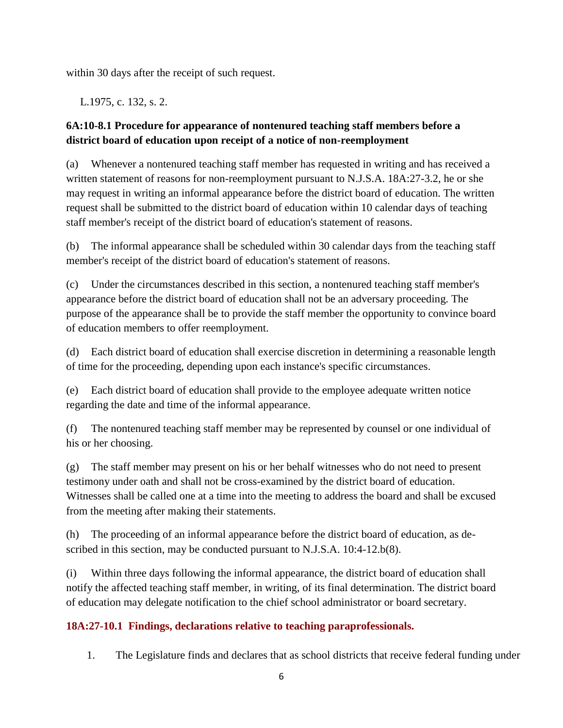within 30 days after the receipt of such request.

L.1975, c. 132, s. 2.

# **6A:10-8.1 Procedure for appearance of nontenured teaching staff members before a district board of education upon receipt of a notice of non-reemployment**

(a) Whenever a nontenured teaching staff member has requested in writing and has received a written statement of reasons for non-reemployment pursuant to N.J.S.A. 18A:27-3.2, he or she may request in writing an informal appearance before the district board of education. The written request shall be submitted to the district board of education within 10 calendar days of teaching staff member's receipt of the district board of education's statement of reasons.

(b) The informal appearance shall be scheduled within 30 calendar days from the teaching staff member's receipt of the district board of education's statement of reasons.

(c) Under the circumstances described in this section, a nontenured teaching staff member's appearance before the district board of education shall not be an adversary proceeding. The purpose of the appearance shall be to provide the staff member the opportunity to convince board of education members to offer reemployment.

(d) Each district board of education shall exercise discretion in determining a reasonable length of time for the proceeding, depending upon each instance's specific circumstances.

(e) Each district board of education shall provide to the employee adequate written notice regarding the date and time of the informal appearance.

(f) The nontenured teaching staff member may be represented by counsel or one individual of his or her choosing.

(g) The staff member may present on his or her behalf witnesses who do not need to present testimony under oath and shall not be cross-examined by the district board of education. Witnesses shall be called one at a time into the meeting to address the board and shall be excused from the meeting after making their statements.

(h) The proceeding of an informal appearance before the district board of education, as described in this section, may be conducted pursuant to N.J.S.A. 10:4-12.b(8).

(i) Within three days following the informal appearance, the district board of education shall notify the affected teaching staff member, in writing, of its final determination. The district board of education may delegate notification to the chief school administrator or board secretary.

# **18A:27-10.1 Findings, declarations relative to teaching paraprofessionals.**

1. The Legislature finds and declares that as school districts that receive federal funding under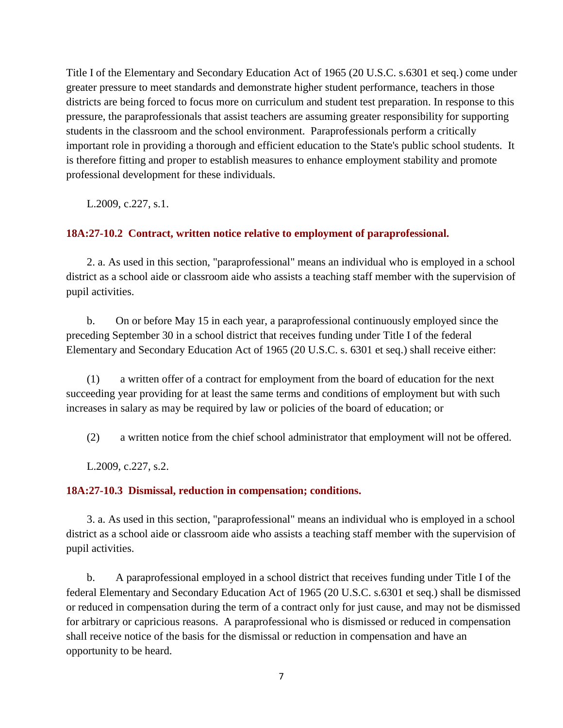Title I of the Elementary and Secondary Education Act of 1965 (20 U.S.C. s.6301 et seq.) come under greater pressure to meet standards and demonstrate higher student performance, teachers in those districts are being forced to focus more on curriculum and student test preparation. In response to this pressure, the paraprofessionals that assist teachers are assuming greater responsibility for supporting students in the classroom and the school environment. Paraprofessionals perform a critically important role in providing a thorough and efficient education to the State's public school students. It is therefore fitting and proper to establish measures to enhance employment stability and promote professional development for these individuals.

L.2009, c.227, s.1.

### **18A:27-10.2 Contract, written notice relative to employment of paraprofessional.**

2. a. As used in this section, "paraprofessional" means an individual who is employed in a school district as a school aide or classroom aide who assists a teaching staff member with the supervision of pupil activities.

b. On or before May 15 in each year, a paraprofessional continuously employed since the preceding September 30 in a school district that receives funding under Title I of the federal Elementary and Secondary Education Act of 1965 (20 U.S.C. s. 6301 et seq.) shall receive either:

(1) a written offer of a contract for employment from the board of education for the next succeeding year providing for at least the same terms and conditions of employment but with such increases in salary as may be required by law or policies of the board of education; or

(2) a written notice from the chief school administrator that employment will not be offered.

L.2009, c.227, s.2.

### **18A:27-10.3 Dismissal, reduction in compensation; conditions.**

3. a. As used in this section, "paraprofessional" means an individual who is employed in a school district as a school aide or classroom aide who assists a teaching staff member with the supervision of pupil activities.

b. A paraprofessional employed in a school district that receives funding under Title I of the federal Elementary and Secondary Education Act of 1965 (20 U.S.C. s.6301 et seq.) shall be dismissed or reduced in compensation during the term of a contract only for just cause, and may not be dismissed for arbitrary or capricious reasons. A paraprofessional who is dismissed or reduced in compensation shall receive notice of the basis for the dismissal or reduction in compensation and have an opportunity to be heard.